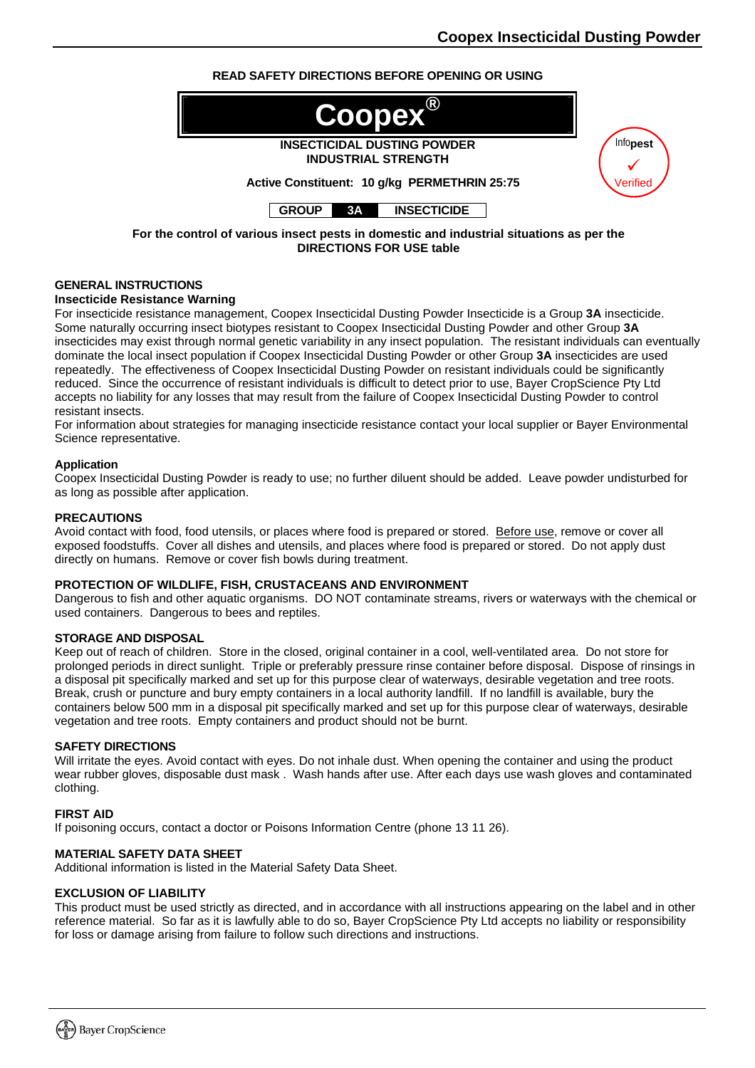# **READ SAFETY DIRECTIONS BEFORE OPENING OR USING**



**DIRECTIONS FOR USE table** 

# **GENERAL INSTRUCTIONS**

## **Insecticide Resistance Warning**

For insecticide resistance management, Coopex Insecticidal Dusting Powder Insecticide is a Group **3A** insecticide. Some naturally occurring insect biotypes resistant to Coopex Insecticidal Dusting Powder and other Group **3A** insecticides may exist through normal genetic variability in any insect population. The resistant individuals can eventually dominate the local insect population if Coopex Insecticidal Dusting Powder or other Group **3A** insecticides are used repeatedly. The effectiveness of Coopex Insecticidal Dusting Powder on resistant individuals could be significantly reduced. Since the occurrence of resistant individuals is difficult to detect prior to use, Bayer CropScience Pty Ltd accepts no liability for any losses that may result from the failure of Coopex Insecticidal Dusting Powder to control resistant insects.

For information about strategies for managing insecticide resistance contact your local supplier or Bayer Environmental Science representative.

#### **Application**

Coopex Insecticidal Dusting Powder is ready to use; no further diluent should be added. Leave powder undisturbed for as long as possible after application.

#### **PRECAUTIONS**

Avoid contact with food, food utensils, or places where food is prepared or stored. Before use, remove or cover all exposed foodstuffs. Cover all dishes and utensils, and places where food is prepared or stored. Do not apply dust directly on humans. Remove or cover fish bowls during treatment.

#### **PROTECTION OF WILDLIFE, FISH, CRUSTACEANS AND ENVIRONMENT**

Dangerous to fish and other aquatic organisms. DO NOT contaminate streams, rivers or waterways with the chemical or used containers. Dangerous to bees and reptiles.

#### **STORAGE AND DISPOSAL**

Keep out of reach of children. Store in the closed, original container in a cool, well-ventilated area. Do not store for prolonged periods in direct sunlight. Triple or preferably pressure rinse container before disposal. Dispose of rinsings in a disposal pit specifically marked and set up for this purpose clear of waterways, desirable vegetation and tree roots. Break, crush or puncture and bury empty containers in a local authority landfill. If no landfill is available, bury the containers below 500 mm in a disposal pit specifically marked and set up for this purpose clear of waterways, desirable vegetation and tree roots. Empty containers and product should not be burnt.

#### **SAFETY DIRECTIONS**

Will irritate the eyes. Avoid contact with eyes. Do not inhale dust. When opening the container and using the product wear rubber gloves, disposable dust mask . Wash hands after use. After each days use wash gloves and contaminated clothing.

#### **FIRST AID**

If poisoning occurs, contact a doctor or Poisons Information Centre (phone 13 11 26).

#### **MATERIAL SAFETY DATA SHEET**

Additional information is listed in the Material Safety Data Sheet.

### **EXCLUSION OF LIABILITY**

This product must be used strictly as directed, and in accordance with all instructions appearing on the label and in other reference material. So far as it is lawfully able to do so, Bayer CropScience Pty Ltd accepts no liability or responsibility for loss or damage arising from failure to follow such directions and instructions.